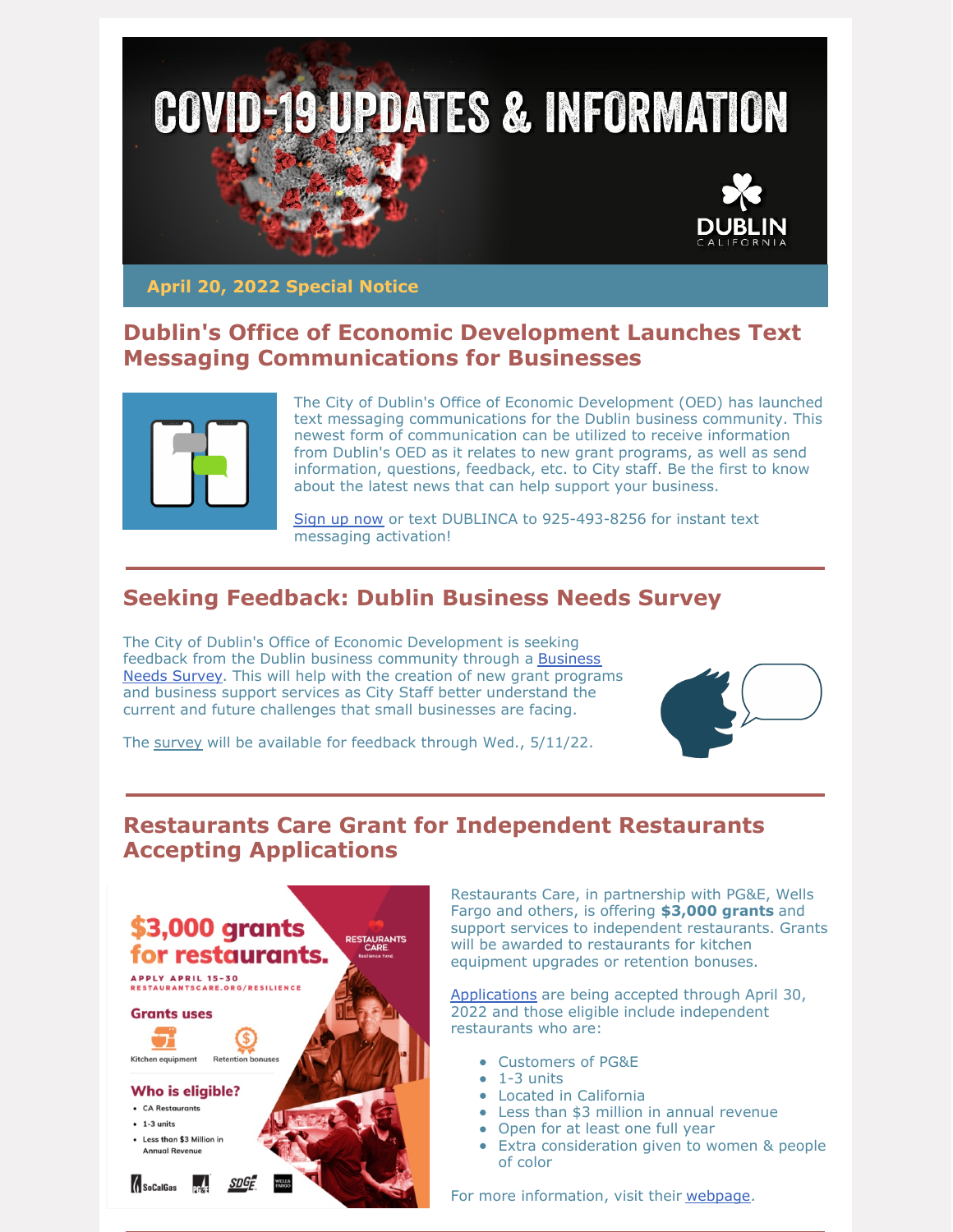

**April 20, 2022 Special Notice**

#### **Dublin's Office of Economic Development Launches Text Messaging Communications for Businesses**



The City of Dublin's Office of Economic Development (OED) has launched text messaging communications for the Dublin business community. This newest form of communication can be utilized to receive information from Dublin's OED as it relates to new grant programs, as well as send information, questions, feedback, etc. to City staff. Be the first to know about the latest news that can help support your business.

[Sign](https://dublin.ca.gov/2448/Receive-Text-Communications-from-Dublins) up now or text DUBLINCA to 925-493-8256 for instant text messaging activation!

# **Seeking Feedback: Dublin Business Needs Survey**

The City of Dublin's Office of Economic Development is seeking feedback from the Dublin business [community](https://www.surveymonkey.com/r/SY5RRF9) through a Business Needs Survey. This will help with the creation of new grant programs and business support services as City Staff better understand the current and future challenges that small businesses are facing.



The [survey](https://www.surveymonkey.com/r/SY5RRF9) will be available for feedback through Wed., 5/11/22.

#### **Restaurants Care Grant for Independent Restaurants Accepting Applications**



Restaurants Care, in partnership with PG&E, Wells Fargo and others, is offering **\$3,000 grants** and support services to independent restaurants. Grants will be awarded to restaurants for kitchen equipment upgrades or retention bonuses.

[Applications](https://craf.communityforce.com/Funds/FundDetails.aspx?634874666E67316C323078516C775845494E374E6C6373654E79743250594E57502F594B666A2F42375149697264464C6351445142754142787534754D4A6861) are being accepted through April 30, 2022 and those eligible include independent restaurants who are:

- Customers of PG&E
- $-1-3$  units
- Located in California
- Less than \$3 million in annual revenue
- Open for at least one full year
- Extra consideration given to women & people of color

For more information, visit their [webpage](https://restaurantscare.org/resilience/).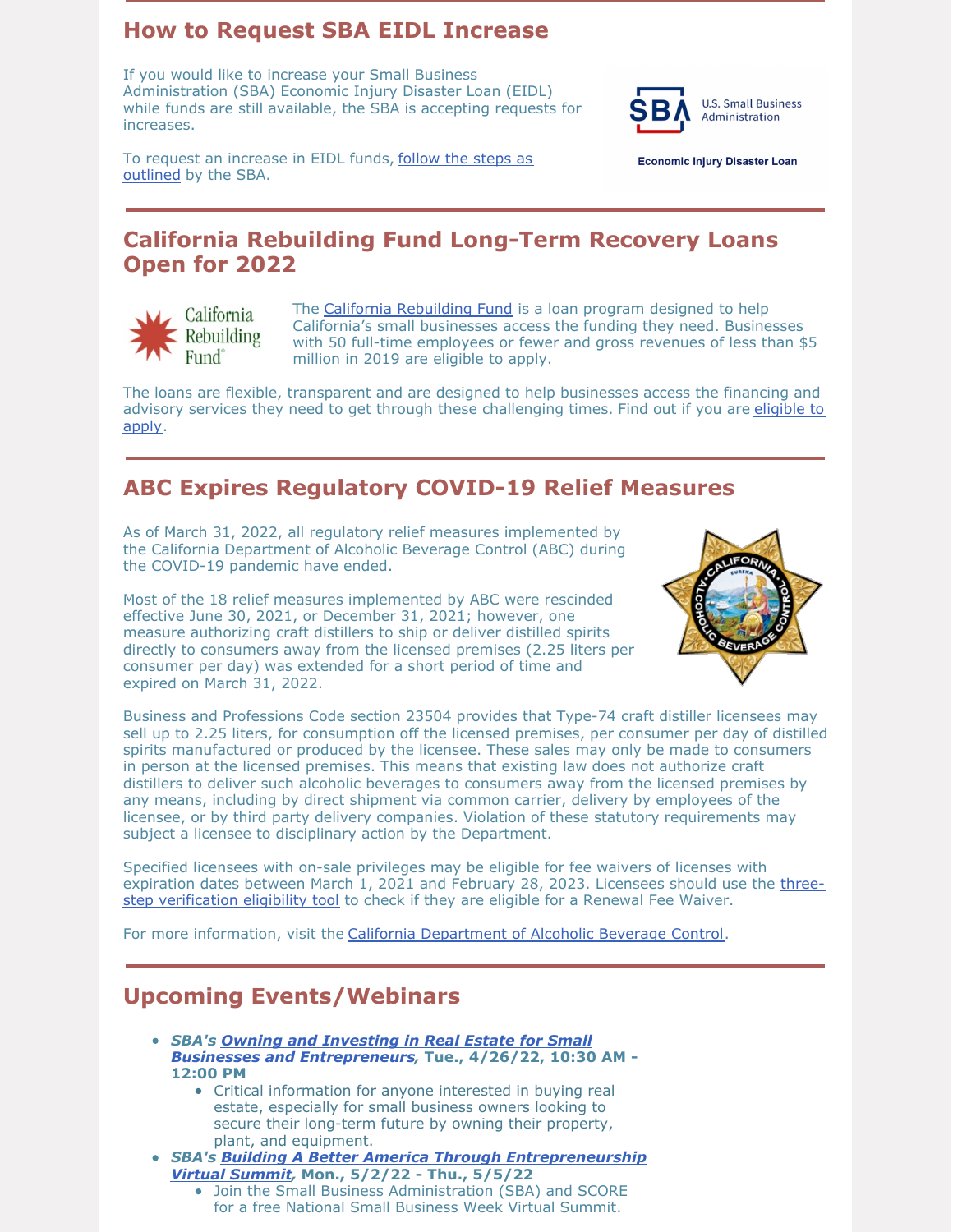### **How to Request SBA EIDL Increase**

If you would like to increase your Small Business Administration (SBA) Economic Injury Disaster Loan (EIDL) while funds are still available, the SBA is accepting requests for increases.



To request an [increase](https://www.sba.gov/funding-programs/loans/covid-19-relief-options/covid-19-economic-injury-disaster-loan/manage-your-eidl#section-header-7) in EIDL funds, follow the steps as outlined by the SBA.

**Economic Injury Disaster Loan** 

## **California Rebuilding Fund Long-Term Recovery Loans Open for 2022**



The California [Rebuilding](https://www.caloanfund.org/) Fund is a loan program designed to help California's small businesses access the funding they need. Businesses with 50 full-time employees or fewer and gross revenues of less than \$5 million in 2019 are eligible to apply.

The loans are flexible, transparent and are designed to help businesses access the financing and advisory services they need to get through these [challenging](https://www.caloanfund.org/get-started/) times. Find out if you are eligible to apply.

# **ABC Expires Regulatory COVID-19 Relief Measures**

As of March 31, 2022, all regulatory relief measures implemented by the California Department of Alcoholic Beverage Control (ABC) during the COVID-19 pandemic have ended.

Most of the 18 relief measures implemented by ABC were rescinded effective June 30, 2021, or December 31, 2021; however, one measure authorizing craft distillers to ship or deliver distilled spirits directly to consumers away from the licensed premises (2.25 liters per consumer per day) was extended for a short period of time and expired on March 31, 2022.



Business and Professions Code section 23504 provides that Type-74 craft distiller licensees may sell up to 2.25 liters, for consumption off the licensed premises, per consumer per day of distilled spirits manufactured or produced by the licensee. These sales may only be made to consumers in person at the licensed premises. This means that existing law does not authorize craft distillers to deliver such alcoholic beverages to consumers away from the licensed premises by any means, including by direct shipment via common carrier, delivery by employees of the licensee, or by third party delivery companies. Violation of these statutory requirements may subject a licensee to disciplinary action by the Department.

Specified licensees with on-sale privileges may be eligible for fee waivers of licenses with expiration dates between March 1, 2021 and February 28, 2023. Licensees should use the threestep [verification](https://r20.rs6.net/tn.jsp?f=001AmJHXs0QStbLCGQdOSCYOTZCpht90ha2Z_QobzsxJDOV2YeHxWIbnrUBi9wGQ5FxXSZ5UkJ-_bWVwE9X4p7XI15aHYdYHmLAiNwP5WiqPKoV4xlFEMDazDuZpHL6s1qrJLoIU4DSYGUPinkYnxERfHhtYjYYjDEVmibSHDNYNf1xj6rrKavCJhK94k6UF0aCWOfIg0drhxBRm9dmoogCq6CuXFOqeA9GaEK9oSRj60zVVZ3QUg3XDQ==&c=&ch=) eligibility tool to check if they are eligible for a Renewal Fee Waiver.

For more information, visit the California [Department](https://www.abc.ca.gov/) of Alcoholic Beverage Control.

# **Upcoming Events/Webinars**

- *SBA's Owning and Investing in Real Estate for Small Businesses and [Entrepreneurs,](https://norcalsbdc.zoom.us/webinar/register/WN_sfoMC5jrSeShS0gUbyL6FQ)* **Tue., 4/26/22, 10:30 AM - 12:00 PM**
	- Critical information for anyone interested in buying real estate, especially for small business owners looking to secure their long-term future by owning their property, plant, and equipment.
- *SBA's Building A Better America Through [Entrepreneurship](https://onlinexperiences.com/scripts/Server.nxp?LASCmd=AI:4;F:QS!10100&ShowUUID=D3562669-A93F-42F9-A310-0AB7975259F8&Referrer=https%3A%2F%2Fonlinexperiences.com%2FServer.nxp%3FLASCmd%3DAI%3A2%3BF%3AXP!14454%26VX%3Dtrue%26ShowKey%3D190237%26RegistrationQui) Virtual Summit,* **Mon., 5/2/22 - Thu., 5/5/22**
	- Join the Small Business Administration (SBA) and SCORE for a free National Small Business Week Virtual Summit.